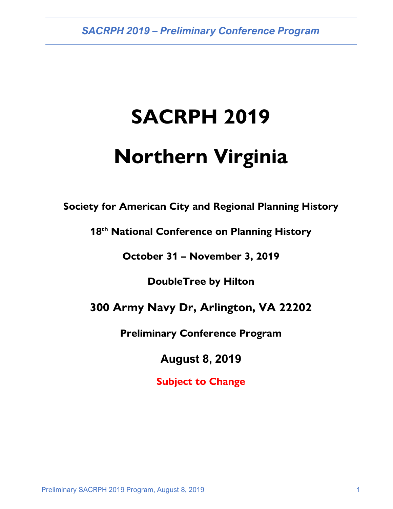*SACRPH 2019 – Preliminary Conference Program*

# **SACRPH 2019**

# **Northern Virginia**

**Society for American City and Regional Planning History**

**18th National Conference on Planning History**

**October 31 – November 3, 2019**

**DoubleTree by Hilton**

### **300 Army Navy Dr, Arlington, VA 22202**

**Preliminary Conference Program**

**August 8, 2019**

**Subject to Change**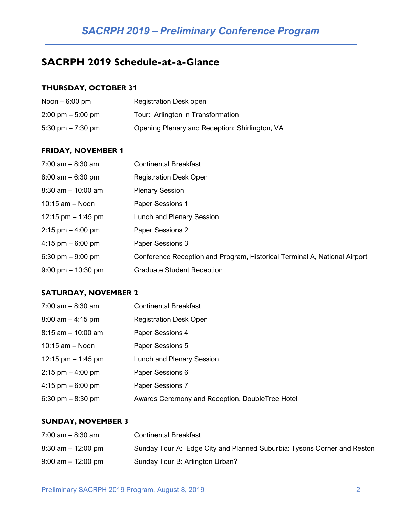## *SACRPH 2019 – Preliminary Conference Program*

### **SACRPH 2019 Schedule-at-a-Glance**

### **THURSDAY, OCTOBER 31**

| Noon $-6:00$ pm                     | <b>Registration Desk open</b>                  |
|-------------------------------------|------------------------------------------------|
| $2:00 \text{ pm} - 5:00 \text{ pm}$ | Tour: Arlington in Transformation              |
| 5:30 pm $- 7:30$ pm                 | Opening Plenary and Reception: Shirlington, VA |

#### **FRIDAY, NOVEMBER 1**

| $7:00$ am $-8:30$ am                 | <b>Continental Breakfast</b>                                              |
|--------------------------------------|---------------------------------------------------------------------------|
| $8:00$ am $-6:30$ pm                 | <b>Registration Desk Open</b>                                             |
| $8:30$ am $-10:00$ am                | <b>Plenary Session</b>                                                    |
| $10:15$ am $-$ Noon                  | Paper Sessions 1                                                          |
| 12:15 pm $-$ 1:45 pm                 | Lunch and Plenary Session                                                 |
| $2:15$ pm $-4:00$ pm                 | Paper Sessions 2                                                          |
| 4:15 pm $-6:00$ pm                   | Paper Sessions 3                                                          |
| 6:30 pm $-9:00$ pm                   | Conference Reception and Program, Historical Terminal A, National Airport |
| $9:00 \text{ pm} - 10:30 \text{ pm}$ | <b>Graduate Student Reception</b>                                         |

#### **SATURDAY, NOVEMBER 2**

| 7:00 am - 8:30 am    | <b>Continental Breakfast</b>                    |
|----------------------|-------------------------------------------------|
| $8:00$ am $-4:15$ pm | <b>Registration Desk Open</b>                   |
| 8:15 am - 10:00 am   | Paper Sessions 4                                |
| $10:15$ am $-$ Noon  | Paper Sessions 5                                |
| 12:15 pm $-$ 1:45 pm | Lunch and Plenary Session                       |
| $2:15$ pm $-4:00$ pm | Paper Sessions 6                                |
| 4:15 pm $-6:00$ pm   | Paper Sessions 7                                |
| 6:30 pm $-$ 8:30 pm  | Awards Ceremony and Reception, DoubleTree Hotel |

#### **SUNDAY, NOVEMBER 3**

| $7:00$ am $-8:30$ am  | <b>Continental Breakfast</b>                                            |
|-----------------------|-------------------------------------------------------------------------|
| $8:30$ am $-12:00$ pm | Sunday Tour A: Edge City and Planned Suburbia: Tysons Corner and Reston |
| $9:00$ am $-12:00$ pm | Sunday Tour B: Arlington Urban?                                         |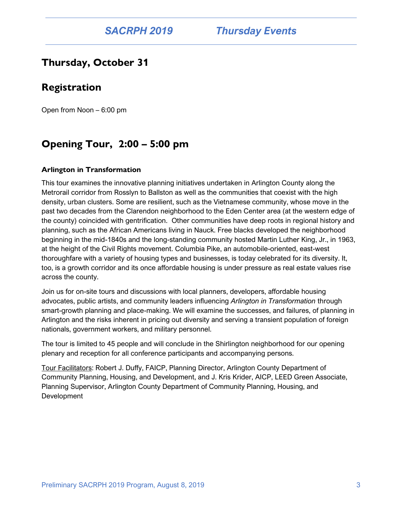### **Thursday, October 31**

### **Registration**

Open from Noon – 6:00 pm

### **Opening Tour, 2:00 – 5:00 pm**

#### **Arlington in Transformation**

This tour examines the innovative planning initiatives undertaken in Arlington County along the Metrorail corridor from Rosslyn to Ballston as well as the communities that coexist with the high density, urban clusters. Some are resilient, such as the Vietnamese community, whose move in the past two decades from the Clarendon neighborhood to the Eden Center area (at the western edge of the county) coincided with gentrification. Other communities have deep roots in regional history and planning, such as the African Americans living in Nauck. Free blacks developed the neighborhood beginning in the mid-1840s and the long-standing community hosted Martin Luther King, Jr., in 1963, at the height of the Civil Rights movement. Columbia Pike, an automobile-oriented, east-west thoroughfare with a variety of housing types and businesses, is today celebrated for its diversity. It, too, is a growth corridor and its once affordable housing is under pressure as real estate values rise across the county.

Join us for on-site tours and discussions with local planners, developers, affordable housing advocates, public artists, and community leaders influencing *Arlington in Transformation* through smart-growth planning and place-making. We will examine the successes, and failures, of planning in Arlington and the risks inherent in pricing out diversity and serving a transient population of foreign nationals, government workers, and military personnel.

The tour is limited to 45 people and will conclude in the Shirlington neighborhood for our opening plenary and reception for all conference participants and accompanying persons.

Tour Facilitators: Robert J. Duffy, FAICP, Planning Director, Arlington County Department of Community Planning, Housing, and Development, and J. Kris Krider, AICP, LEED Green Associate, Planning Supervisor, Arlington County Department of Community Planning, Housing, and **Development**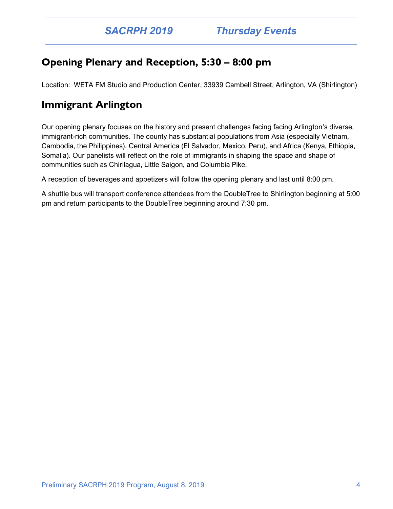### **Opening Plenary and Reception, 5:30 – 8:00 pm**

Location: WETA FM Studio and Production Center, 33939 Cambell Street, Arlington, VA (Shirlington)

### **Immigrant Arlington**

Our opening plenary focuses on the history and present challenges facing facing Arlington's diverse, immigrant-rich communities. The county has substantial populations from Asia (especially Vietnam, Cambodia, the Philippines), Central America (El Salvador, Mexico, Peru), and Africa (Kenya, Ethiopia, Somalia). Our panelists will reflect on the role of immigrants in shaping the space and shape of communities such as Chirilagua, Little Saigon, and Columbia Pike.

A reception of beverages and appetizers will follow the opening plenary and last until 8:00 pm.

A shuttle bus will transport conference attendees from the DoubleTree to Shirlington beginning at 5:00 pm and return participants to the DoubleTree beginning around 7:30 pm.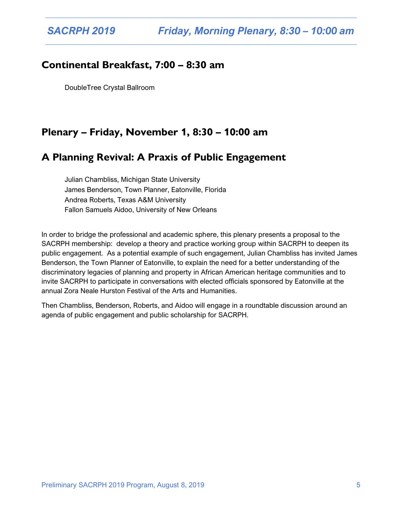### **Continental Breakfast, 7:00 – 8:30 am**

DoubleTree Crystal Ballroom

### **Plenary – Friday, November 1, 8:30 – 10:00 am**

### **A Planning Revival: A Praxis of Public Engagement**

Julian Chambliss, Michigan State University James Benderson, Town Planner, Eatonville, Florida Andrea Roberts, Texas A&M University Fallon Samuels Aidoo, University of New Orleans

In order to bridge the professional and academic sphere, this plenary presents a proposal to the SACRPH membership: develop a theory and practice working group within SACRPH to deepen its public engagement. As a potential example of such engagement, Julian Chambliss has invited James Benderson, the Town Planner of Eatonville, to explain the need for a better understanding of the discriminatory legacies of planning and property in African American heritage communities and to invite SACRPH to participate in conversations with elected officials sponsored by Eatonville at the annual Zora Neale Hurston Festival of the Arts and Humanities.

Then Chambliss, Benderson, Roberts, and Aidoo will engage in a roundtable discussion around an agenda of public engagement and public scholarship for SACRPH.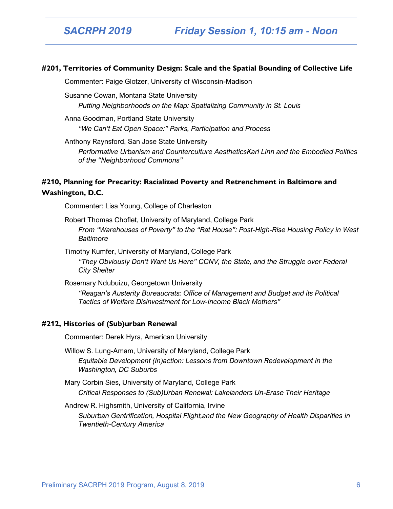#### **#201, Territories of Community Design: Scale and the Spatial Bounding of Collective Life**

Commenter: Paige Glotzer, University of Wisconsin-Madison

Susanne Cowan, Montana State University *Putting Neighborhoods on the Map: Spatializing Community in St. Louis*

Anna Goodman, Portland State University *"We Can't Eat Open Space:" Parks, Participation and Process*

Anthony Raynsford, San Jose State University

*Performative Urbanism and Counterculture AestheticsKarl Linn and the Embodied Politics of the "Neighborhood Commons"*

#### **#210, Planning for Precarity: Racialized Poverty and Retrenchment in Baltimore and Washington, D.C.**

Commenter: Lisa Young, College of Charleston

Robert Thomas Choflet, University of Maryland, College Park *From "Warehouses of Poverty" to the "Rat House": Post-High-Rise Housing Policy in West Baltimore*

Timothy Kumfer, University of Maryland, College Park *"They Obviously Don't Want Us Here" CCNV, the State, and the Struggle over Federal City Shelter*

Rosemary Ndubuizu, Georgetown University *"Reagan's Austerity Bureaucrats: Office of Management and Budget and its Political Tactics of Welfare Disinvestment for Low-Income Black Mothers"*

#### **#212, Histories of (Sub)urban Renewal**

Commenter: Derek Hyra, American University

Willow S. Lung-Amam, University of Maryland, College Park *Equitable Development (In)action: Lessons from Downtown Redevelopment in the Washington, DC Suburbs*

Mary Corbin Sies, University of Maryland, College Park *Critical Responses to (Sub)Urban Renewal: Lakelanders Un-Erase Their Heritage*

Andrew R. Highsmith, University of California, Irvine

*Suburban Gentrification, Hospital Flight,and the New Geography of Health Disparities in Twentieth-Century America*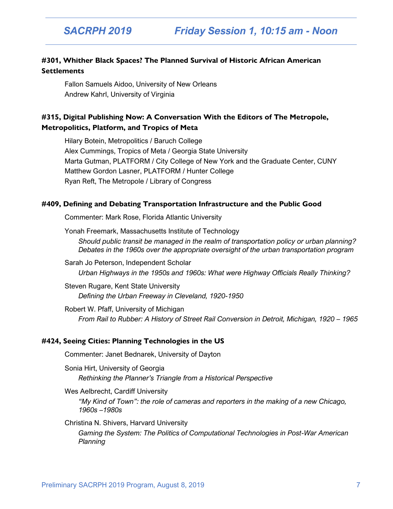#### **#301, Whither Black Spaces? The Planned Survival of Historic African American Settlements**

Fallon Samuels Aidoo, University of New Orleans Andrew Kahrl, University of Virginia

#### **#315, Digital Publishing Now: A Conversation With the Editors of The Metropole, Metropolitics, Platform, and Tropics of Meta**

Hilary Botein, Metropolitics / Baruch College Alex Cummings, Tropics of Meta / Georgia State University Marta Gutman, PLATFORM / City College of New York and the Graduate Center, CUNY Matthew Gordon Lasner, PLATFORM / Hunter College Ryan Reft, The Metropole / Library of Congress

#### **#409, Defining and Debating Transportation Infrastructure and the Public Good**

Commenter: Mark Rose, Florida Atlantic University

Yonah Freemark, Massachusetts Institute of Technology *Should public transit be managed in the realm of transportation policy or urban planning? Debates in the 1960s over the appropriate oversight of the urban transportation program*

Sarah Jo Peterson, Independent Scholar *Urban Highways in the 1950s and 1960s: What were Highway Officials Really Thinking?*

Steven Rugare, Kent State University *Defining the Urban Freeway in Cleveland, 1920-1950*

Robert W. Pfaff, University of Michigan *From Rail to Rubber: A History of Street Rail Conversion in Detroit, Michigan, 1920 – 1965*

#### **#424, Seeing Cities: Planning Technologies in the US**

Commenter: Janet Bednarek, University of Dayton

Sonia Hirt, University of Georgia *Rethinking the Planner's Triangle from a Historical Perspective*

Wes Aelbrecht, Cardiff University

*"My Kind of Town": the role of cameras and reporters in the making of a new Chicago, 1960s –1980s*

#### Christina N. Shivers, Harvard University

*Gaming the System: The Politics of Computational Technologies in Post-War American Planning*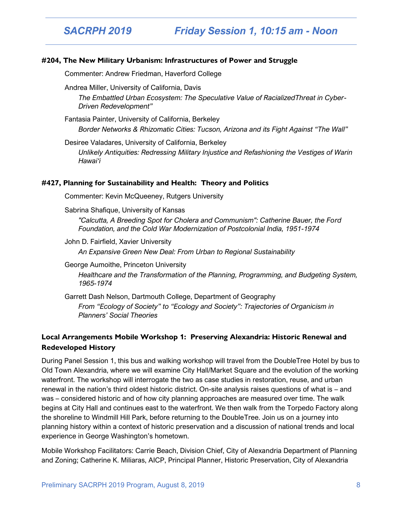#### **#204, The New Military Urbanism: Infrastructures of Power and Struggle**

Commenter: Andrew Friedman, Haverford College

Andrea Miller, University of California, Davis

*The Embattled Urban Ecosystem: The Speculative Value of RacializedThreat in Cyber-Driven Redevelopment"*

Fantasia Painter, University of California, Berkeley *Border Networks & Rhizomatic Cities: Tucson, Arizona and its Fight Against "The Wall"*

Desiree Valadares, University of California, Berkeley *Unlikely Antiquities: Redressing Military Injustice and Refashioning the Vestiges of Warin Hawai'i*

#### **#427, Planning for Sustainability and Health: Theory and Politics**

Commenter: Kevin McQueeney, Rutgers University

Sabrina Shafique, University of Kansas

*"Calcutta, A Breeding Spot for Cholera and Communism": Catherine Bauer, the Ford Foundation, and the Cold War Modernization of Postcolonial India, 1951-1974*

John D. Fairfield, Xavier University

*An Expansive Green New Deal: From Urban to Regional Sustainability*

George Aumoithe, Princeton University

*Healthcare and the Transformation of the Planning, Programming, and Budgeting System, 1965-1974*

Garrett Dash Nelson, Dartmouth College, Department of Geography

*From "Ecology of Society" to "Ecology and Society": Trajectories of Organicism in Planners' Social Theories*

#### **Local Arrangements Mobile Workshop 1: Preserving Alexandria: Historic Renewal and Redeveloped History**

During Panel Session 1, this bus and walking workshop will travel from the DoubleTree Hotel by bus to Old Town Alexandria, where we will examine City Hall/Market Square and the evolution of the working waterfront. The workshop will interrogate the two as case studies in restoration, reuse, and urban renewal in the nation's third oldest historic district. On-site analysis raises questions of what is – and was – considered historic and of how city planning approaches are measured over time. The walk begins at City Hall and continues east to the waterfront. We then walk from the Torpedo Factory along the shoreline to Windmill Hill Park, before returning to the DoubleTree. Join us on a journey into planning history within a context of historic preservation and a discussion of national trends and local experience in George Washington's hometown.

Mobile Workshop Facilitators: Carrie Beach, Division Chief, City of Alexandria Department of Planning and Zoning; Catherine K. Miliaras, AICP, Principal Planner, Historic Preservation, City of Alexandria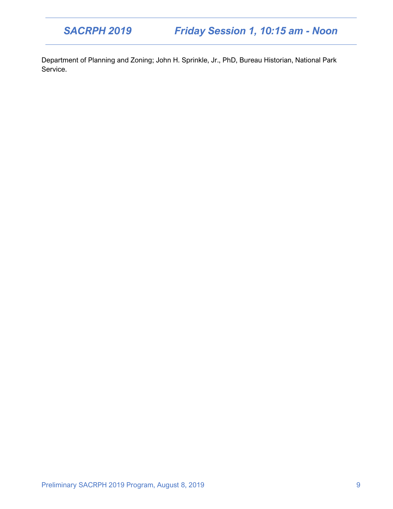## *SACRPH 2019 Friday Session 1, 10:15 am - Noon*

Department of Planning and Zoning; John H. Sprinkle, Jr., PhD, Bureau Historian, National Park Service.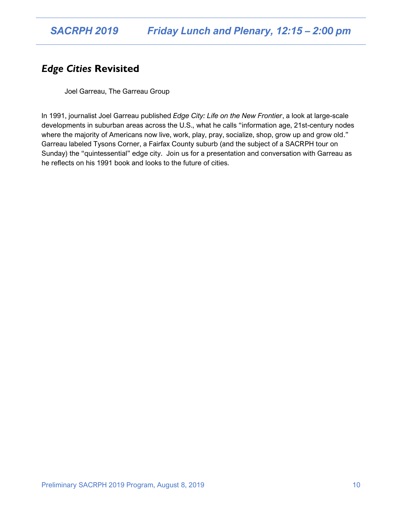### *Edge Cities* **Revisited**

Joel Garreau, The Garreau Group

In 1991, journalist Joel Garreau published *Edge City: Life on the New Frontier*, a look at large-scale developments in suburban areas across the U.S., what he calls "information age, 21st-century nodes where the majority of Americans now live, work, play, pray, socialize, shop, grow up and grow old." Garreau labeled Tysons Corner, a Fairfax County suburb (and the subject of a SACRPH tour on Sunday) the "quintessential" edge city. Join us for a presentation and conversation with Garreau as he reflects on his 1991 book and looks to the future of cities.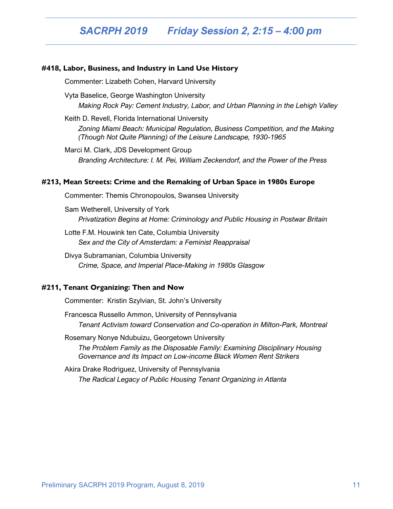#### **#418, Labor, Business, and Industry in Land Use History**

Commenter: Lizabeth Cohen, Harvard University

Vyta Baselice, George Washington University *Making Rock Pay: Cement Industry, Labor, and Urban Planning in the Lehigh Valley*

Keith D. Revell, Florida International University

*Zoning Miami Beach: Municipal Regulation, Business Competition, and the Making (Though Not Quite Planning) of the Leisure Landscape, 1930-1965*

Marci M. Clark, JDS Development Group *Branding Architecture: I. M. Pei, William Zeckendorf, and the Power of the Press*

#### **#213, Mean Streets: Crime and the Remaking of Urban Space in 1980s Europe**

Commenter: Themis Chronopoulos, Swansea University

Sam Wetherell, University of York *Privatization Begins at Home: Criminology and Public Housing in Postwar Britain*

Lotte F.M. Houwink ten Cate, Columbia University *Sex and the City of Amsterdam: a Feminist Reappraisal*

Divya Subramanian, Columbia University *Crime, Space, and Imperial Place-Making in 1980s Glasgow*

#### **#211, Tenant Organizing: Then and Now**

Commenter: Kristin Szylvian, St. John's University

Francesca Russello Ammon, University of Pennsylvania *Tenant Activism toward Conservation and Co-operation in Milton-Park, Montreal*

Rosemary Nonye Ndubuizu, Georgetown University *The Problem Family as the Disposable Family: Examining Disciplinary Housing Governance and its Impact on Low-income Black Women Rent Strikers*

Akira Drake Rodriguez, University of Pennsylvania *The Radical Legacy of Public Housing Tenant Organizing in Atlanta*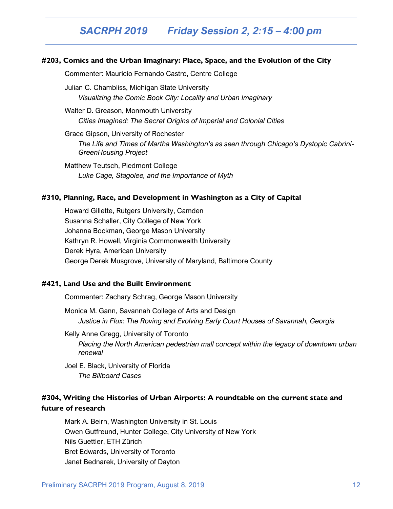### *SACRPH 2019 Friday Session 2, 2:15 – 4:00 pm*

#### **#203, Comics and the Urban Imaginary: Place, Space, and the Evolution of the City**

Commenter: Mauricio Fernando Castro, Centre College

Julian C. Chambliss, Michigan State University *Visualizing the Comic Book City: Locality and Urban Imaginary*

Walter D. Greason, Monmouth University *Cities Imagined: The Secret Origins of Imperial and Colonial Cities*

Grace Gipson, University of Rochester *The Life and Times of Martha Washington's as seen through Chicago's Dystopic Cabrini-GreenHousing Project*

Matthew Teutsch, Piedmont College *Luke Cage, Stagolee, and the Importance of Myth*

#### **#310, Planning, Race, and Development in Washington as a City of Capital**

Howard Gillette, Rutgers University, Camden Susanna Schaller, City College of New York Johanna Bockman, George Mason University Kathryn R. Howell, Virginia Commonwealth University Derek Hyra, American University George Derek Musgrove, University of Maryland, Baltimore County

#### **#421, Land Use and the Built Environment**

Commenter: Zachary Schrag, George Mason University

Monica M. Gann, Savannah College of Arts and Design *Justice in Flux: The Roving and Evolving Early Court Houses of Savannah, Georgia*

Kelly Anne Gregg, University of Toronto *Placing the North American pedestrian mall concept within the legacy of downtown urban renewal*

Joel E. Black, University of Florida *The Billboard Cases*

#### **#304, Writing the Histories of Urban Airports: A roundtable on the current state and future of research**

Mark A. Beirn, Washington University in St. Louis Owen Gutfreund, Hunter College, City University of New York Nils Guettler, ETH Zürich Bret Edwards, University of Toronto Janet Bednarek, University of Dayton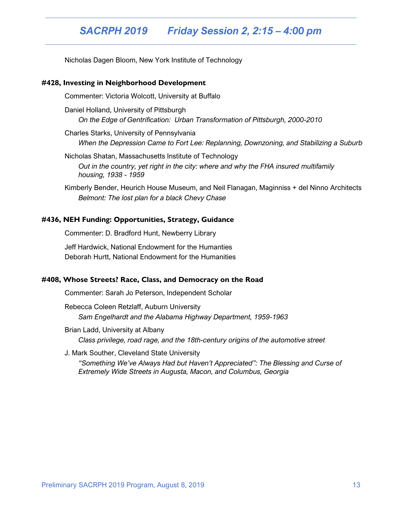### *SACRPH 2019 Friday Session 2, 2:15 – 4:00 pm*

Nicholas Dagen Bloom, New York Institute of Technology

#### **#428, Investing in Neighborhood Development**

Commenter: Victoria Wolcott, University at Buffalo

Daniel Holland, University of Pittsburgh *On the Edge of Gentrification: Urban Transformation of Pittsburgh, 2000-2010*

Charles Starks, University of Pennsylvania *When the Depression Came to Fort Lee: Replanning, Downzoning, and Stabilizing a Suburb*

Nicholas Shatan, Massachusetts Institute of Technology *Out in the country, yet right in the city: where and why the FHA insured multifamily housing, 1938 - 1959*

Kimberly Bender, Heurich House Museum, and Neil Flanagan, Maginniss + del Ninno Architects *Belmont: The lost plan for a black Chevy Chase*

#### **#436, NEH Funding: Opportunities, Strategy, Guidance**

Commenter: D. Bradford Hunt, Newberry Library Jeff Hardwick, National Endowment for the Humanties Deborah Hurtt, National Endowment for the Humanities

#### **#408, Whose Streets? Race, Class, and Democracy on the Road**

Commenter: Sarah Jo Peterson, Independent Scholar

Rebecca Coleen Retzlaff, Auburn University *Sam Engelhardt and the Alabama Highway Department, 1959-1963*

Brian Ladd, University at Albany *Class privilege, road rage, and the 18th-century origins of the automotive street*

J. Mark Souther, Cleveland State University *"Something We've Always Had but Haven't Appreciated": The Blessing and Curse of Extremely Wide Streets in Augusta, Macon, and Columbus, Georgia*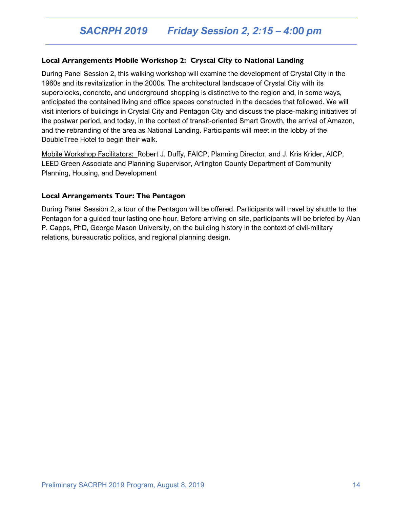#### **Local Arrangements Mobile Workshop 2: Crystal City to National Landing**

During Panel Session 2, this walking workshop will examine the development of Crystal City in the 1960s and its revitalization in the 2000s. The architectural landscape of Crystal City with its superblocks, concrete, and underground shopping is distinctive to the region and, in some ways, anticipated the contained living and office spaces constructed in the decades that followed. We will visit interiors of buildings in Crystal City and Pentagon City and discuss the place-making initiatives of the postwar period, and today, in the context of transit-oriented Smart Growth, the arrival of Amazon, and the rebranding of the area as National Landing. Participants will meet in the lobby of the DoubleTree Hotel to begin their walk.

Mobile Workshop Facilitators: Robert J. Duffy, FAICP, Planning Director, and J. Kris Krider, AICP, LEED Green Associate and Planning Supervisor, Arlington County Department of Community Planning, Housing, and Development

#### **Local Arrangements Tour: The Pentagon**

During Panel Session 2, a tour of the Pentagon will be offered. Participants will travel by shuttle to the Pentagon for a guided tour lasting one hour. Before arriving on site, participants will be briefed by Alan P. Capps, PhD, George Mason University, on the building history in the context of civil-military relations, bureaucratic politics, and regional planning design.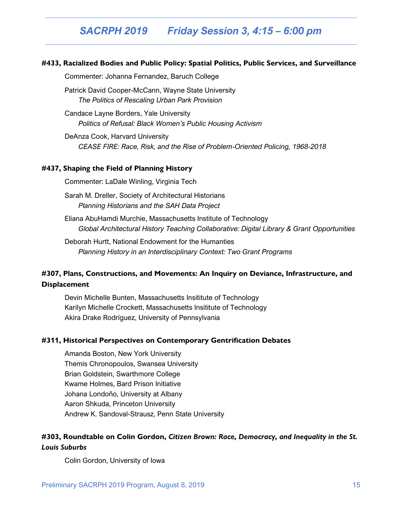#### **#433, Racialized Bodies and Public Policy: Spatial Politics, Public Services, and Surveillance**

Commenter: Johanna Fernandez, Baruch College

Patrick David Cooper-McCann, Wayne State University *The Politics of Rescaling Urban Park Provision*

Candace Layne Borders, Yale University *Politics of Refusal: Black Women's Public Housing Activism*

DeAnza Cook, Harvard University *CEASE FIRE: Race, Risk, and the Rise of Problem-Oriented Policing, 1968-2018*

#### **#437, Shaping the Field of Planning History**

Commenter: LaDale Winling, Virginia Tech

Sarah M. Dreller, Society of Architectural Historians *Planning Historians and the SAH Data Project*

Eliana AbuHamdi Murchie, Massachusetts Institute of Technology *Global Architectural History Teaching Collaborative: Digital Library & Grant Opportunities*

Deborah Hurtt, National Endowment for the Humanties *Planning History in an Interdisciplinary Context: Two Grant Programs*

### **#307, Plans, Constructions, and Movements: An Inquiry on Deviance, Infrastructure, and Displacement**

Devin Michelle Bunten, Massachusetts Insititute of Technology Karilyn Michelle Crockett, Massachusetts Insititute of Technology Akira Drake Rodríguez, University of Pennsylvania

#### **#311, Historical Perspectives on Contemporary Gentrification Debates**

Amanda Boston, New York University Themis Chronopoulos, Swansea University Brian Goldstein, Swarthmore College Kwame Holmes, Bard Prison Initiative Johana Londoño, University at Albany Aaron Shkuda, Princeton University Andrew K. Sandoval-Strausz, Penn State University

### **#303, Roundtable on Colin Gordon,** *Citizen Brown: Race, Democracy, and Inequality in the St. Louis Suburbs*

Colin Gordon, University of Iowa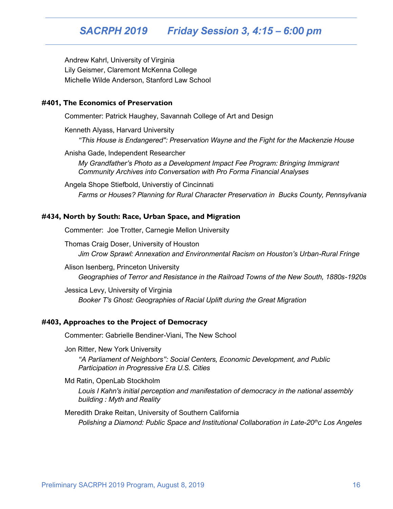### *SACRPH 2019 Friday Session 3, 4:15 – 6:00 pm*

Andrew Kahrl, University of Virginia Lily Geismer, Claremont McKenna College Michelle Wilde Anderson, Stanford Law School

#### **#401, The Economics of Preservation**

Commenter: Patrick Haughey, Savannah College of Art and Design

Kenneth Alyass, Harvard University *"This House is Endangered": Preservation Wayne and the Fight for the Mackenzie House*

Anisha Gade, Independent Researcher

*My Grandfather's Photo as a Development Impact Fee Program: Bringing Immigrant Community Archives into Conversation with Pro Forma Financial Analyses*

Angela Shope Stiefbold, Universtiy of Cincinnati *Farms or Houses? Planning for Rural Character Preservation in Bucks County, Pennsylvania*

#### **#434, North by South: Race, Urban Space, and Migration**

Commenter: Joe Trotter, Carnegie Mellon University

Thomas Craig Doser, University of Houston *Jim Crow Sprawl: Annexation and Environmental Racism on Houston's Urban-Rural Fringe*

Alison Isenberg, Princeton University *Geographies of Terror and Resistance in the Railroad Towns of the New South, 1880s-1920s*

Jessica Levy, University of Virginia *Booker T's Ghost: Geographies of Racial Uplift during the Great Migration*

#### **#403, Approaches to the Project of Democracy**

Commenter: Gabrielle Bendiner-Viani, The New School

Jon Ritter, New York University

*"A Parliament of Neighbors": Social Centers, Economic Development, and Public Participation in Progressive Era U.S. Cities*

Md Ratin, OpenLab Stockholm

*Louis I Kahn's initial perception and manifestation of democracy in the national assembly building : Myth and Reality*

#### Meredith Drake Reitan, University of Southern California

*Polishing a Diamond: Public Space and Institutional Collaboration in Late-20thc Los Angeles*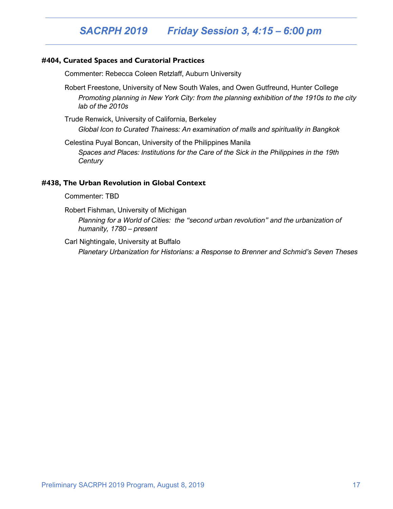## *SACRPH 2019 Friday Session 3, 4:15 – 6:00 pm*

#### **#404, Curated Spaces and Curatorial Practices**

Commenter: Rebecca Coleen Retzlaff, Auburn University

Robert Freestone, University of New South Wales, and Owen Gutfreund, Hunter College *Promoting planning in New York City: from the planning exhibition of the 1910s to the city lab of the 2010s*

Trude Renwick, University of California, Berkeley *Global Icon to Curated Thainess: An examination of malls and spirituality in Bangkok*

Celestina Puyal Boncan, University of the Philippines Manila *Spaces and Places: Institutions for the Care of the Sick in the Philippines in the 19th Century*

#### **#438, The Urban Revolution in Global Context**

Commenter: TBD

Robert Fishman, University of Michigan

*Planning for a World of Cities: the "second urban revolution" and the urbanization of humanity, 1780 – present*

Carl Nightingale, University at Buffalo

*Planetary Urbanization for Historians: a Response to Brenner and Schmid's Seven Theses*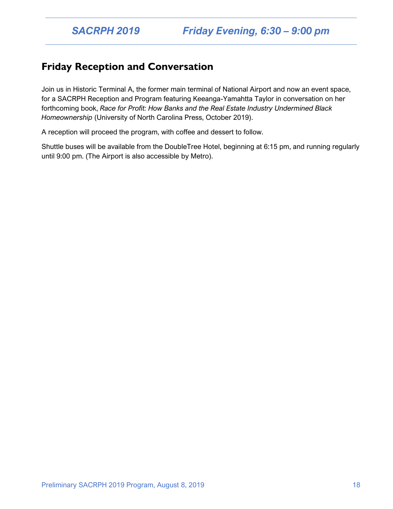### **Friday Reception and Conversation**

Join us in Historic Terminal A, the former main terminal of National Airport and now an event space, for a SACRPH Reception and Program featuring Keeanga-Yamahtta Taylor in conversation on her forthcoming book, *Race for Profit: How Banks and the Real Estate Industry Undermined Black Homeownership* (University of North Carolina Press, October 2019).

A reception will proceed the program, with coffee and dessert to follow.

Shuttle buses will be available from the DoubleTree Hotel, beginning at 6:15 pm, and running regularly until 9:00 pm. (The Airport is also accessible by Metro).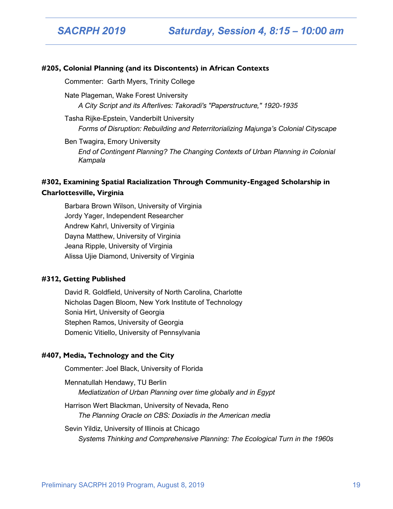#### **#205, Colonial Planning (and its Discontents) in African Contexts**

Commenter: Garth Myers, Trinity College

Nate Plageman, Wake Forest University *A City Script and its Afterlives: Takoradi's "Paperstructure," 1920-1935*

Tasha Rijke-Epstein, Vanderbilt University *Forms of Disruption: Rebuilding and Reterritorializing Majunga's Colonial Cityscape*

Ben Twagira, Emory University *End of Contingent Planning? The Changing Contexts of Urban Planning in Colonial Kampala*

#### **#302, Examining Spatial Racialization Through Community-Engaged Scholarship in Charlottesville, Virginia**

Barbara Brown Wilson, University of Virginia Jordy Yager, Independent Researcher Andrew Kahrl, University of Virginia Dayna Matthew, University of Virginia Jeana Ripple, University of Virginia Alissa Ujie Diamond, University of Virginia

#### **#312, Getting Published**

David R. Goldfield, University of North Carolina, Charlotte Nicholas Dagen Bloom, New York Institute of Technology Sonia Hirt, University of Georgia Stephen Ramos, University of Georgia Domenic Vitiello, University of Pennsylvania

#### **#407, Media, Technology and the City**

Commenter: Joel Black, University of Florida

Mennatullah Hendawy, TU Berlin *Mediatization of Urban Planning over time globally and in Egypt*

Harrison Wert Blackman, University of Nevada, Reno *The Planning Oracle on CBS: Doxiadis in the American media*

Sevin Yildiz, University of Illinois at Chicago *Systems Thinking and Comprehensive Planning: The Ecological Turn in the 1960s*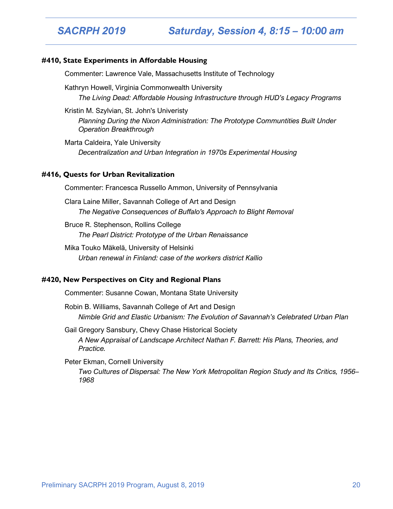#### **#410, State Experiments in Affordable Housing**

Commenter: Lawrence Vale, Massachusetts Institute of Technology

Kathryn Howell, Virginia Commonwealth University *The Living Dead: Affordable Housing Infrastructure through HUD's Legacy Programs*

Kristin M. Szylvian, St. John's Univeristy

*Planning During the Nixon Administration: The Prototype Communtities Built Under Operation Breakthrough*

Marta Caldeira, Yale University *Decentralization and Urban Integration in 1970s Experimental Housing*

#### **#416, Quests for Urban Revitalization**

Commenter: Francesca Russello Ammon, University of Pennsylvania

Clara Laine Miller, Savannah College of Art and Design *The Negative Consequences of Buffalo's Approach to Blight Removal*

Bruce R. Stephenson, Rollins College *The Pearl District: Prototype of the Urban Renaissance*

Mika Touko Mäkelä, University of Helsinki *Urban renewal in Finland: case of the workers district Kallio*

#### **#420, New Perspectives on City and Regional Plans**

Commenter: Susanne Cowan, Montana State University

Robin B. Williams, Savannah College of Art and Design *Nimble Grid and Elastic Urbanism: The Evolution of Savannah's Celebrated Urban Plan*

Gail Gregory Sansbury, Chevy Chase Historical Society *A New Appraisal of Landscape Architect Nathan F. Barrett: His Plans, Theories, and Practice.*

Peter Ekman, Cornell University *Two Cultures of Dispersal: The New York Metropolitan Region Study and Its Critics, 1956– 1968*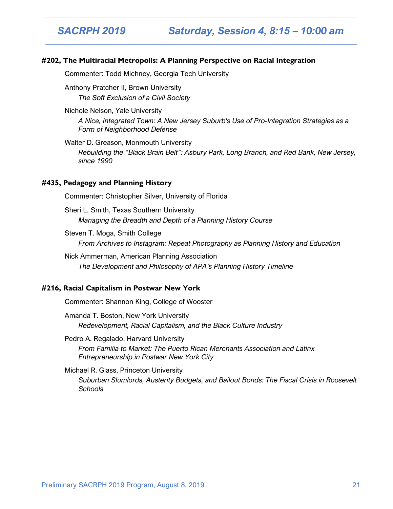*SACRPH 2019 Saturday, Session 4, 8:15 – 10:00 am*

#### **#202, The Multiracial Metropolis: A Planning Perspective on Racial Integration**

Commenter: Todd Michney, Georgia Tech University

Anthony Pratcher II, Brown University *The Soft Exclusion of a Civil Society*

Nichole Nelson, Yale University *A Nice, Integrated Town: A New Jersey Suburb's Use of Pro-Integration Strategies as a Form of Neighborhood Defense*

Walter D. Greason, Monmouth University *Rebuilding the "Black Brain Belt": Asbury Park, Long Branch, and Red Bank, New Jersey, since 1990*

#### **#435, Pedagogy and Planning History**

Commenter: Christopher Silver, University of Florida

Sheri L. Smith, Texas Southern University *Managing the Breadth and Depth of a Planning History Course*

Steven T. Moga, Smith College *From Archives to Instagram: Repeat Photography as Planning History and Education*

Nick Ammerman, American Planning Association *The Development and Philosophy of APA's Planning History Timeline*

#### **#216, Racial Capitalism in Postwar New York**

Commenter: Shannon King, College of Wooster

Amanda T. Boston, New York University *Redevelopment, Racial Capitalism, and the Black Culture Industry*

Pedro A. Regalado, Harvard University *From Familia to Market: The Puerto Rican Merchants Association and Latinx Entrepreneurship in Postwar New York City*

#### Michael R. Glass, Princeton University

*Suburban Slumlords, Austerity Budgets, and Bailout Bonds: The Fiscal Crisis in Roosevelt Schools*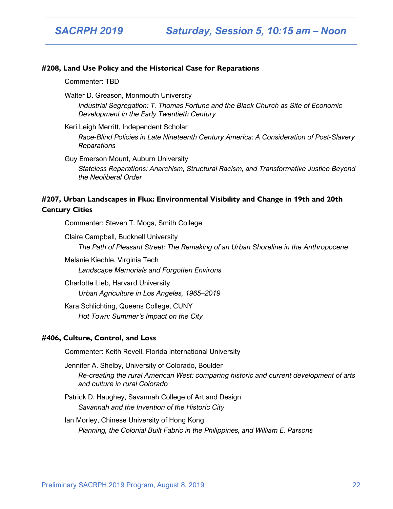#### **#208, Land Use Policy and the Historical Case for Reparations**

Commenter: TBD

Walter D. Greason, Monmouth University

*Industrial Segregation: T. Thomas Fortune and the Black Church as Site of Economic Development in the Early Twentieth Century*

Keri Leigh Merritt, Independent Scholar

*Race-Blind Policies in Late Nineteenth Century America: A Consideration of Post-Slavery Reparations*

Guy Emerson Mount, Auburn University

*Stateless Reparations: Anarchism, Structural Racism, and Transformative Justice Beyond the Neoliberal Order*

#### **#207, Urban Landscapes in Flux: Environmental Visibility and Change in 19th and 20th Century Cities**

Commenter: Steven T. Moga, Smith College

Claire Campbell, Bucknell University *The Path of Pleasant Street: The Remaking of an Urban Shoreline in the Anthropocene*

Melanie Kiechle, Virginia Tech *Landscape Memorials and Forgotten Environs*

Charlotte Lieb, Harvard University *Urban Agriculture in Los Angeles, 1965–2019*

Kara Schlichting, Queens College, CUNY *Hot Town: Summer's Impact on the City*

#### **#406, Culture, Control, and Loss**

Commenter: Keith Revell, Florida International University

Jennifer A. Shelby, University of Colorado, Boulder *Re-creating the rural American West: comparing historic and current development of arts and culture in rural Colorado*

- Patrick D. Haughey, Savannah College of Art and Design *Savannah and the Invention of the Historic City*
- Ian Morley, Chinese University of Hong Kong *Planning, the Colonial Built Fabric in the Philippines, and William E. Parsons*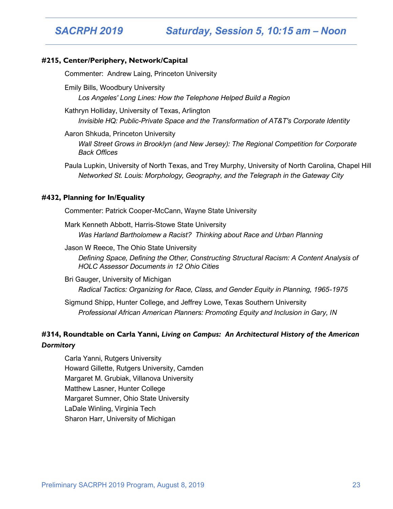#### **#215, Center/Periphery, Network/Capital**

Commenter: Andrew Laing, Princeton University

Emily Bills, Woodbury University *Los Angeles' Long Lines: How the Telephone Helped Build a Region*

Kathryn Holliday, University of Texas, Arlington *Invisible HQ: Public-Private Space and the Transformation of AT&T's Corporate Identity*

Aaron Shkuda, Princeton University *Wall Street Grows in Brooklyn (and New Jersey): The Regional Competition for Corporate Back Offices*

Paula Lupkin, University of North Texas, and Trey Murphy, University of North Carolina, Chapel Hill *Networked St. Louis: Morphology, Geography, and the Telegraph in the Gateway City*

#### **#432, Planning for In/Equality**

Commenter: Patrick Cooper-McCann, Wayne State University

Mark Kenneth Abbott, Harris-Stowe State University *Was Harland Bartholomew a Racist? Thinking about Race and Urban Planning*

Jason W Reece, The Ohio State University *Defining Space, Defining the Other, Constructing Structural Racism: A Content Analysis of HOLC Assessor Documents in 12 Ohio Cities*

Bri Gauger, University of Michigan *Radical Tactics: Organizing for Race, Class, and Gender Equity in Planning, 1965-1975*

Sigmund Shipp, Hunter College, and Jeffrey Lowe, Texas Southern University *Professional African American Planners: Promoting Equity and Inclusion in Gary, IN*

#### **#314, Roundtable on Carla Yanni,** *Living on Campus: An Architectural History of the American Dormitory*

Carla Yanni, Rutgers University Howard Gillette, Rutgers University, Camden Margaret M. Grubiak, Villanova University Matthew Lasner, Hunter College Margaret Sumner, Ohio State University LaDale Winling, Virginia Tech Sharon Harr, University of Michigan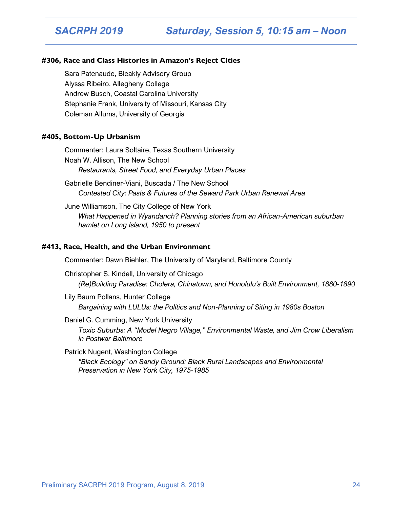#### **#306, Race and Class Histories in Amazon's Reject Cities**

Sara Patenaude, Bleakly Advisory Group Alyssa Ribeiro, Allegheny College Andrew Busch, Coastal Carolina University Stephanie Frank, University of Missouri, Kansas City Coleman Allums, University of Georgia

#### **#405, Bottom-Up Urbanism**

Commenter: Laura Soltaire, Texas Southern University Noah W. Allison, The New School *Restaurants, Street Food, and Everyday Urban Places*

Gabrielle Bendiner-Viani, Buscada / The New School *Contested City: Pasts & Futures of the Seward Park Urban Renewal Area*

June Williamson, The City College of New York *What Happened in Wyandanch? Planning stories from an African-American suburban hamlet on Long Island, 1950 to present*

#### **#413, Race, Health, and the Urban Environment**

Commenter: Dawn Biehler, The University of Maryland, Baltimore County

Christopher S. Kindell, University of Chicago *(Re)Building Paradise: Cholera, Chinatown, and Honolulu's Built Environment, 1880-1890*

Lily Baum Pollans, Hunter College *Bargaining with LULUs: the Politics and Non-Planning of Siting in 1980s Boston*

#### Daniel G. Cumming, New York University

*Toxic Suburbs: A "Model Negro Village," Environmental Waste, and Jim Crow Liberalism in Postwar Baltimore*

Patrick Nugent, Washington College

*"Black Ecology" on Sandy Ground: Black Rural Landscapes and Environmental Preservation in New York City, 1975-1985*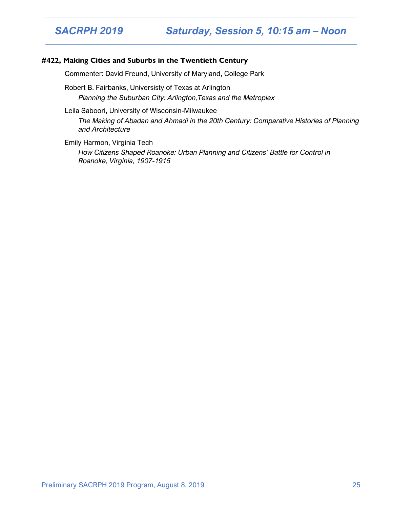#### **#422, Making Cities and Suburbs in the Twentieth Century**

Commenter: David Freund, University of Maryland, College Park

Robert B. Fairbanks, Universisty of Texas at Arlington *Planning the Suburban City: Arlington,Texas and the Metroplex*

Leila Saboori, University of Wisconsin-Milwaukee

*The Making of Abadan and Ahmadi in the 20th Century: Comparative Histories of Planning and Architecture*

Emily Harmon, Virginia Tech *How Citizens Shaped Roanoke: Urban Planning and Citizens' Battle for Control in Roanoke, Virginia, 1907-1915*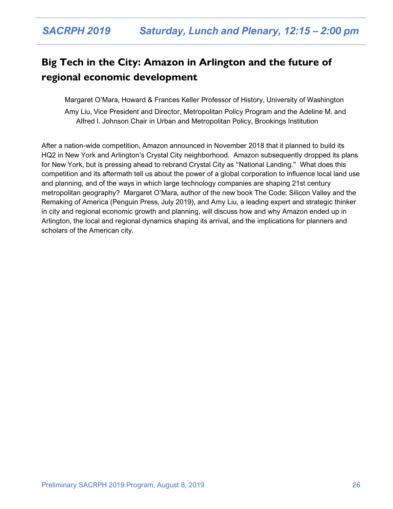## **Big Tech in the City: Amazon in Arlington and the future of regional economic development**

Margaret O'Mara, Howard & Frances Keller Professor of History, University of Washington

Amy Liu, Vice President and Director, Metropolitan Policy Program and the Adeline M. and Alfred I. Johnson Chair in Urban and Metropolitan Policy, Brookings Institution

After a nation-wide competition, Amazon announced in November 2018 that it planned to build its HQ2 in New York and Arlington's Crystal City neighborhood. Amazon subsequently dropped its plans for New York, but is pressing ahead to rebrand Crystal City as "National Landing." What does this competition and its aftermath tell us about the power of a global corporation to influence local land use and planning, and of the ways in which large technology companies are shaping 21st century metropolitan geography? Margaret O'Mara, author of the new book The Code: Silicon Valley and the Remaking of America (Penguin Press, July 2019), and Amy Liu, a leading expert and strategic thinker in city and regional economic growth and planning, will discuss how and why Amazon ended up in Arlington, the local and regional dynamics shaping its arrival, and the implications for planners and scholars of the American city.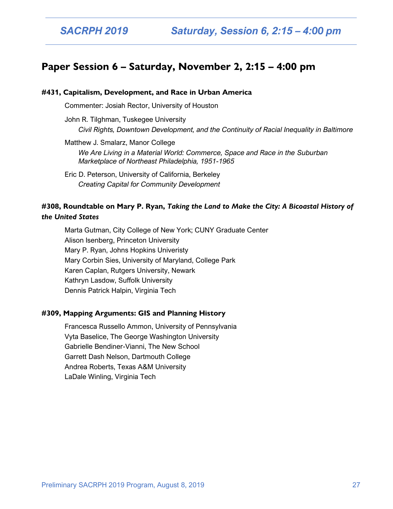### **Paper Session 6 – Saturday, November 2, 2:15 – 4:00 pm**

#### **#431, Capitalism, Development, and Race in Urban America**

Commenter: Josiah Rector, University of Houston

John R. Tilghman, Tuskegee University *Civil Rights, Downtown Development, and the Continuity of Racial Inequality in Baltimore*

Matthew J. Smalarz, Manor College *We Are Living in a Material World: Commerce, Space and Race in the Suburban Marketplace of Northeast Philadelphia, 1951-1965*

Eric D. Peterson, University of California, Berkeley *Creating Capital for Community Development*

#### **#308, Roundtable on Mary P. Ryan,** *Taking the Land to Make the City: A Bicoastal History of the United States*

Marta Gutman, City College of New York; CUNY Graduate Center Alison Isenberg, Princeton University Mary P. Ryan, Johns Hopkins Univeristy Mary Corbin Sies, University of Maryland, College Park Karen Caplan, Rutgers University, Newark Kathryn Lasdow, Suffolk University Dennis Patrick Halpin, Virginia Tech

#### **#309, Mapping Arguments: GIS and Planning History**

Francesca Russello Ammon, University of Pennsylvania Vyta Baselice, The George Washington University Gabrielle Bendiner-Vianni, The New School Garrett Dash Nelson, Dartmouth College Andrea Roberts, Texas A&M University LaDale Winling, Virginia Tech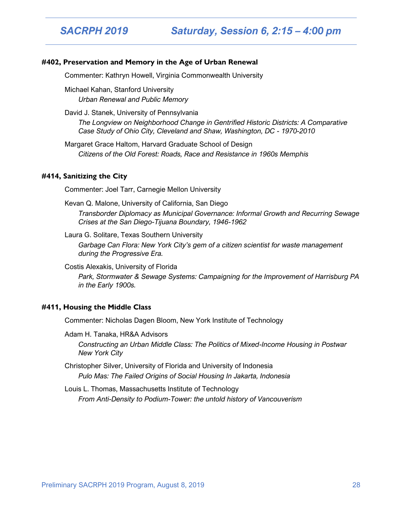#### **#402, Preservation and Memory in the Age of Urban Renewal**

Commenter: Kathryn Howell, Virginia Commonwealth University

Michael Kahan, Stanford University *Urban Renewal and Public Memory*

David J. Stanek, University of Pennsylvania

*The Longview on Neighborhood Change in Gentrified Historic Districts: A Comparative Case Study of Ohio City, Cleveland and Shaw, Washington, DC - 1970-2010*

Margaret Grace Haltom, Harvard Graduate School of Design *Citizens of the Old Forest: Roads, Race and Resistance in 1960s Memphis*

#### **#414, Sanitizing the City**

Commenter: Joel Tarr, Carnegie Mellon University

Kevan Q. Malone, University of California, San Diego

*Transborder Diplomacy as Municipal Governance: Informal Growth and Recurring Sewage Crises at the San Diego-Tijuana Boundary, 1946-1962*

Laura G. Solitare, Texas Southern University

*Garbage Can Flora: New York City's gem of a citizen scientist for waste management during the Progressive Era.*

Costis Alexakis, University of Florida

*Park, Stormwater & Sewage Systems: Campaigning for the Improvement of Harrisburg PA in the Early 1900s.*

#### **#411, Housing the Middle Class**

Commenter: Nicholas Dagen Bloom, New York Institute of Technology

Adam H. Tanaka, HR&A Advisors *Constructing an Urban Middle Class: The Politics of Mixed-Income Housing in Postwar New York City*

Christopher Silver, University of Florida and University of Indonesia *Pulo Mas: The Failed Origins of Social Housing In Jakarta, Indonesia*

Louis L. Thomas, Massachusetts Institute of Technology *From Anti-Density to Podium-Tower: the untold history of Vancouverism*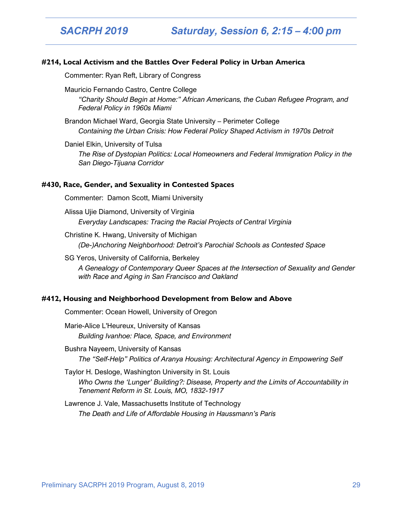*SACRPH 2019 Saturday, Session 6, 2:15 – 4:00 pm*

#### **#214, Local Activism and the Battles Over Federal Policy in Urban America**

Commenter: Ryan Reft, Library of Congress

Mauricio Fernando Castro, Centre College

*"Charity Should Begin at Home:" African Americans, the Cuban Refugee Program, and Federal Policy in 1960s Miami*

Brandon Michael Ward, Georgia State University – Perimeter College *Containing the Urban Crisis: How Federal Policy Shaped Activism in 1970s Detroit*

#### Daniel Elkin, University of Tulsa

*The Rise of Dystopian Politics: Local Homeowners and Federal Immigration Policy in the San Diego-Tijuana Corridor*

#### **#430, Race, Gender, and Sexuality in Contested Spaces**

Commenter: Damon Scott, Miami University

Alissa Ujie Diamond, University of Virginia *Everyday Landscapes: Tracing the Racial Projects of Central Virginia*

Christine K. Hwang, University of Michigan *(De-)Anchoring Neighborhood: Detroit's Parochial Schools as Contested Space*

SG Yeros, University of California, Berkeley *A Genealogy of Contemporary Queer Spaces at the Intersection of Sexuality and Gender with Race and Aging in San Francisco and Oakland*

#### **#412, Housing and Neighborhood Development from Below and Above**

Commenter: Ocean Howell, University of Oregon

Marie-Alice L'Heureux, University of Kansas *Building Ivanhoe: Place, Space, and Environment*

Bushra Nayeem, University of Kansas *The "Self-Help" Politics of Aranya Housing: Architectural Agency in Empowering Self*

- Taylor H. Desloge, Washington University in St. Louis *Who Owns the 'Lunger' Building?: Disease, Property and the Limits of Accountability in Tenement Reform in St. Louis, MO, 1832-1917*
- Lawrence J. Vale, Massachusetts Institute of Technology *The Death and Life of Affordable Housing in Haussmann's Paris*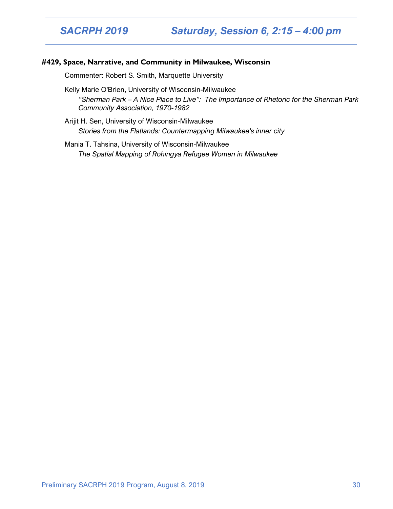*SACRPH 2019 Saturday, Session 6, 2:15 – 4:00 pm*

#### **#429, Space, Narrative, and Community in Milwaukee, Wisconsin**

Commenter: Robert S. Smith, Marquette University

Kelly Marie O'Brien, University of Wisconsin-Milwaukee *"Sherman Park – A Nice Place to Live": The Importance of Rhetoric for the Sherman Park Community Association, 1970-1982*

Arijit H. Sen, University of Wisconsin-Milwaukee *Stories from the Flatlands: Countermapping Milwaukee's inner city*

Mania T. Tahsina, University of Wisconsin-Milwaukee *The Spatial Mapping of Rohingya Refugee Women in Milwaukee*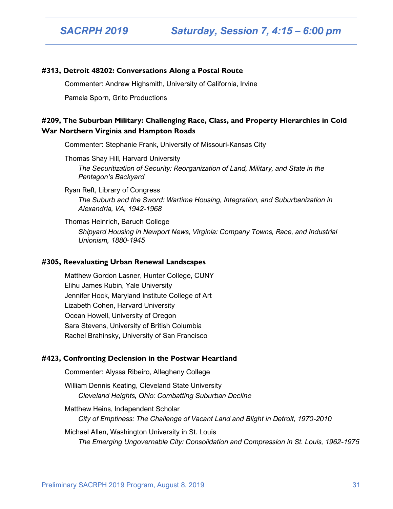#### **#313, Detroit 48202: Conversations Along a Postal Route**

Commenter: Andrew Highsmith, University of California, Irvine

Pamela Sporn, Grito Productions

#### **#209, The Suburban Military: Challenging Race, Class, and Property Hierarchies in Cold War Northern Virginia and Hampton Roads**

Commenter: Stephanie Frank, University of Missouri-Kansas City

Thomas Shay Hill, Harvard University *The Securitization of Security: Reorganization of Land, Military, and State in the Pentagon's Backyard*

Ryan Reft, Library of Congress *The Suburb and the Sword: Wartime Housing, Integration, and Suburbanization in Alexandria, VA, 1942-1968*

Thomas Heinrich, Baruch College *Shipyard Housing in Newport News, Virginia: Company Towns, Race, and Industrial Unionism, 1880-1945*

#### **#305, Reevaluating Urban Renewal Landscapes**

Matthew Gordon Lasner, Hunter College, CUNY Elihu James Rubin, Yale University Jennifer Hock, Maryland Institute College of Art Lizabeth Cohen, Harvard University Ocean Howell, University of Oregon Sara Stevens, University of British Columbia Rachel Brahinsky, University of San Francisco

#### **#423, Confronting Declension in the Postwar Heartland**

Commenter: Alyssa Ribeiro, Allegheny College

William Dennis Keating, Cleveland State University *Cleveland Heights, Ohio: Combatting Suburban Decline*

Matthew Heins, Independent Scholar *City of Emptiness: The Challenge of Vacant Land and Blight in Detroit, 1970-2010*

Michael Allen, Washington University in St. Louis *The Emerging Ungovernable City: Consolidation and Compression in St. Louis, 1962-1975*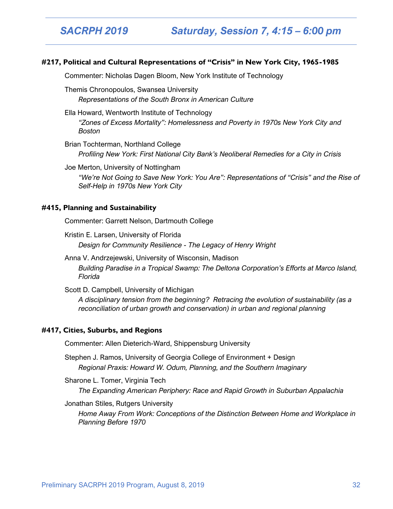#### **#217, Political and Cultural Representations of "Crisis" in New York City, 1965-1985**

Commenter: Nicholas Dagen Bloom, New York Institute of Technology

Themis Chronopoulos, Swansea University

*Representations of the South Bronx in American Culture*

Ella Howard, Wentworth Institute of Technology

*"Zones of Excess Mortality": Homelessness and Poverty in 1970s New York City and Boston*

Brian Tochterman, Northland College *Profiling New York: First National City Bank's Neoliberal Remedies for a City in Crisis*

Joe Merton, University of Nottingham

*"We're Not Going to Save New York: You Are": Representations of "Crisis" and the Rise of Self-Help in 1970s New York City*

#### **#415, Planning and Sustainability**

Commenter: Garrett Nelson, Dartmouth College

Kristin E. Larsen, University of Florida *Design for Community Resilience - The Legacy of Henry Wright*

Anna V. Andrzejewski, University of Wisconsin, Madison *Building Paradise in a Tropical Swamp: The Deltona Corporation's Efforts at Marco Island, Florida*

Scott D. Campbell, University of Michigan

*A disciplinary tension from the beginning? Retracing the evolution of sustainability (as a reconciliation of urban growth and conservation) in urban and regional planning*

#### **#417, Cities, Suburbs, and Regions**

Commenter: Allen Dieterich-Ward, Shippensburg University

Stephen J. Ramos, University of Georgia College of Environment + Design *Regional Praxis: Howard W. Odum, Planning, and the Southern Imaginary*

Sharone L. Tomer, Virginia Tech *The Expanding American Periphery: Race and Rapid Growth in Suburban Appalachia*

Jonathan Stiles, Rutgers University

*Home Away From Work: Conceptions of the Distinction Between Home and Workplace in Planning Before 1970*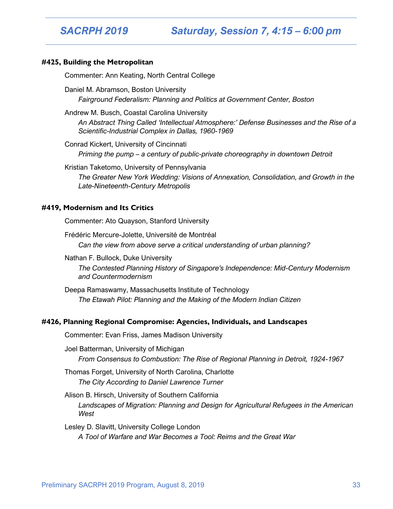*SACRPH 2019 Saturday, Session 7, 4:15 – 6:00 pm*

#### **#425, Building the Metropolitan**

Commenter: Ann Keating, North Central College

Daniel M. Abramson, Boston University *Fairground Federalism: Planning and Politics at Government Center, Boston*

Andrew M. Busch, Coastal Carolina University

*An Abstract Thing Called 'Intellectual Atmosphere:' Defense Businesses and the Rise of a Scientific-Industrial Complex in Dallas, 1960-1969*

Conrad Kickert, University of Cincinnati

*Priming the pump – a century of public-private choreography in downtown Detroit*

Kristian Taketomo, University of Pennsylvania *The Greater New York Wedding: Visions of Annexation, Consolidation, and Growth in the Late-Nineteenth-Century Metropolis*

#### **#419, Modernism and Its Critics**

Commenter: Ato Quayson, Stanford University

Frédéric Mercure-Jolette, Université de Montréal *Can the view from above serve a critical understanding of urban planning?*

Nathan F. Bullock, Duke University *The Contested Planning History of Singapore's Independence: Mid-Century Modernism and Countermodernism*

Deepa Ramaswamy, Massachusetts Institute of Technology *The Etawah Pilot: Planning and the Making of the Modern Indian Citizen*

#### **#426, Planning Regional Compromise: Agencies, Individuals, and Landscapes**

Commenter: Evan Friss, James Madison University

Joel Batterman, University of Michigan *From Consensus to Combustion: The Rise of Regional Planning in Detroit, 1924-1967*

Thomas Forget, University of North Carolina, Charlotte *The City According to Daniel Lawrence Turner*

Alison B. Hirsch, University of Southern California Landscapes of Migration: Planning and Design for Agricultural Refugees in the American *West*

Lesley D. Slavitt, University College London *A Tool of Warfare and War Becomes a Tool: Reims and the Great War*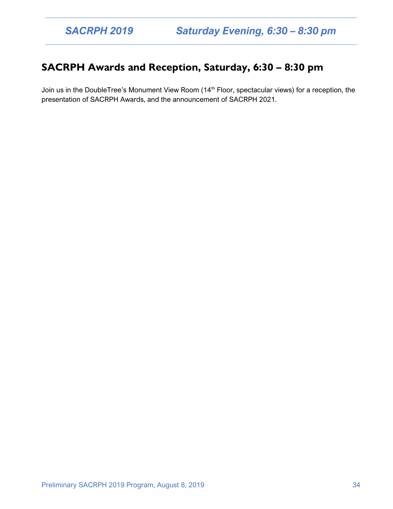### **SACRPH Awards and Reception, Saturday, 6:30 – 8:30 pm**

Join us in the DoubleTree's Monument View Room (14<sup>th</sup> Floor, spectacular views) for a reception, the presentation of SACRPH Awards, and the announcement of SACRPH 2021.